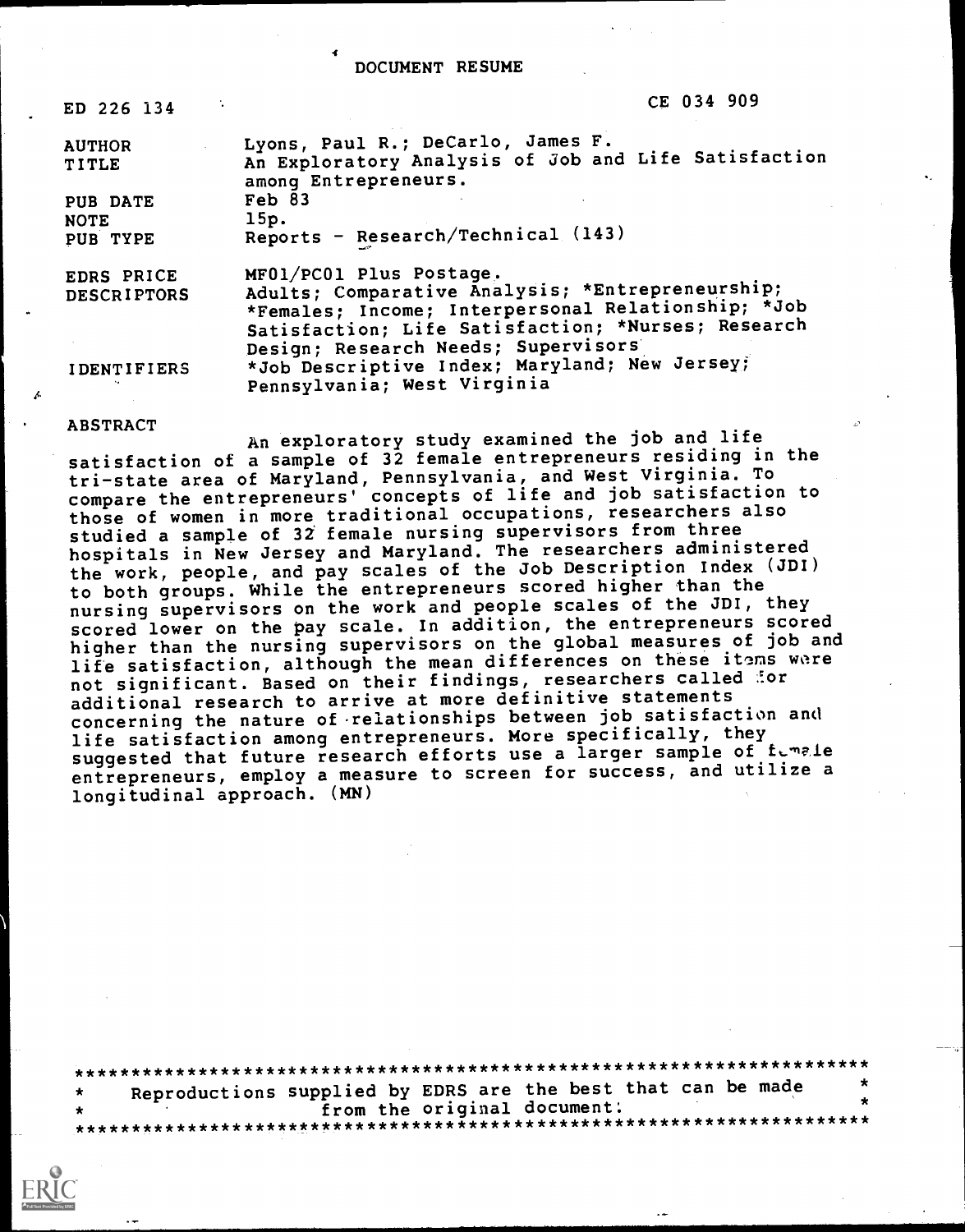#### DOCUMENT RESUME

| ED 226 134         | CE 034 909                                                                   |
|--------------------|------------------------------------------------------------------------------|
| <b>AUTHOR</b>      | Lyons, Paul R.; DeCarlo, James F.                                            |
| <b>TITLE</b>       | An Exploratory Analysis of Job and Life Satisfaction<br>among Entrepreneurs. |
| PUB DATE           | Feb 83                                                                       |
| <b>NOTE</b>        | 15p.                                                                         |
| PUB TYPE           | Reports - Research/Technical (143)                                           |
| EDRS PRICE         | MF01/PC01 Plus Postage.                                                      |
| <b>DESCRIPTORS</b> | Adults; Comparative Analysis; *Entrepreneurship;                             |
|                    | *Females; Income; Interpersonal Relationship; *Job                           |
|                    | Satisfaction; Life Satisfaction; *Nurses; Research                           |
|                    | Design; Research Needs; Supervisors                                          |
| <b>IDENTIFIERS</b> | *Job Descriptive Index; Maryland; New Jersey;                                |
|                    | Pennsylvania; West Virginia                                                  |

### ABSTRACT

An exploratory study examined the job and life satisfaction of a sample of 32 female entrepreneurs residing in the tri-state area of Maryland, Pennsylvania, and West Virginia. To compare the entrepreneurs' concepts of life and job satisfaction to those of women in more traditional occupations, researchers also studied a sample of 32 female nursing supervisors from three hospitals in New Jersey and Maryland. The researchers administered the work, people, and pay scales of the Job Description Index (JDI) to both groups. While the entrepreneurs scored higher than the nursing supervisors on the work and people scales of the JDI, they scored lower on the pay scale. In addition, the entrepreneurs scored higher than the nursing supervisors on the global measures of job and life satisfaction, although the mean differences on these itoms wore not significant. Based on their findings, researchers called for additional research to arrive at more definitive statements concerning the nature of-relationships between job satisfaction and life satisfaction among entrepreneurs. More specifically, they suggested that future research efforts use a larger sample of fumale entrepreneurs, employ a measure to screen for success, and utilize a longitudinal approach. (MN)

\*\*\*\*\*\*\*\*\*\*\*\*\*\*\*\*\*\*\*\*\*\*\*\*\*\*\*\*\*\*\*\*\*\*\*\*\*\*\*\*\*\*\*\*\*\*\*\*\*\*\*\*\*\*\*\*\*\*\*\*\*\*\*\*\*\*\*\*\*\*\* Reproductions supplied by EDRS are the best that can be made<br>from the original document: from the original document: \*\*\*\*\*\*\*\*\*\*\*\*\*\*\*\*\*\*\*\*\*\*\*\*\*\*\*\*\*\*\*\*\*\*\*\*\*\*\*\*\*\*\*\*\*\*\*\*\*\*\*\*\*\*\*\*\*\*\*\*\*\*\*\*\*\*\*\*\*\*\*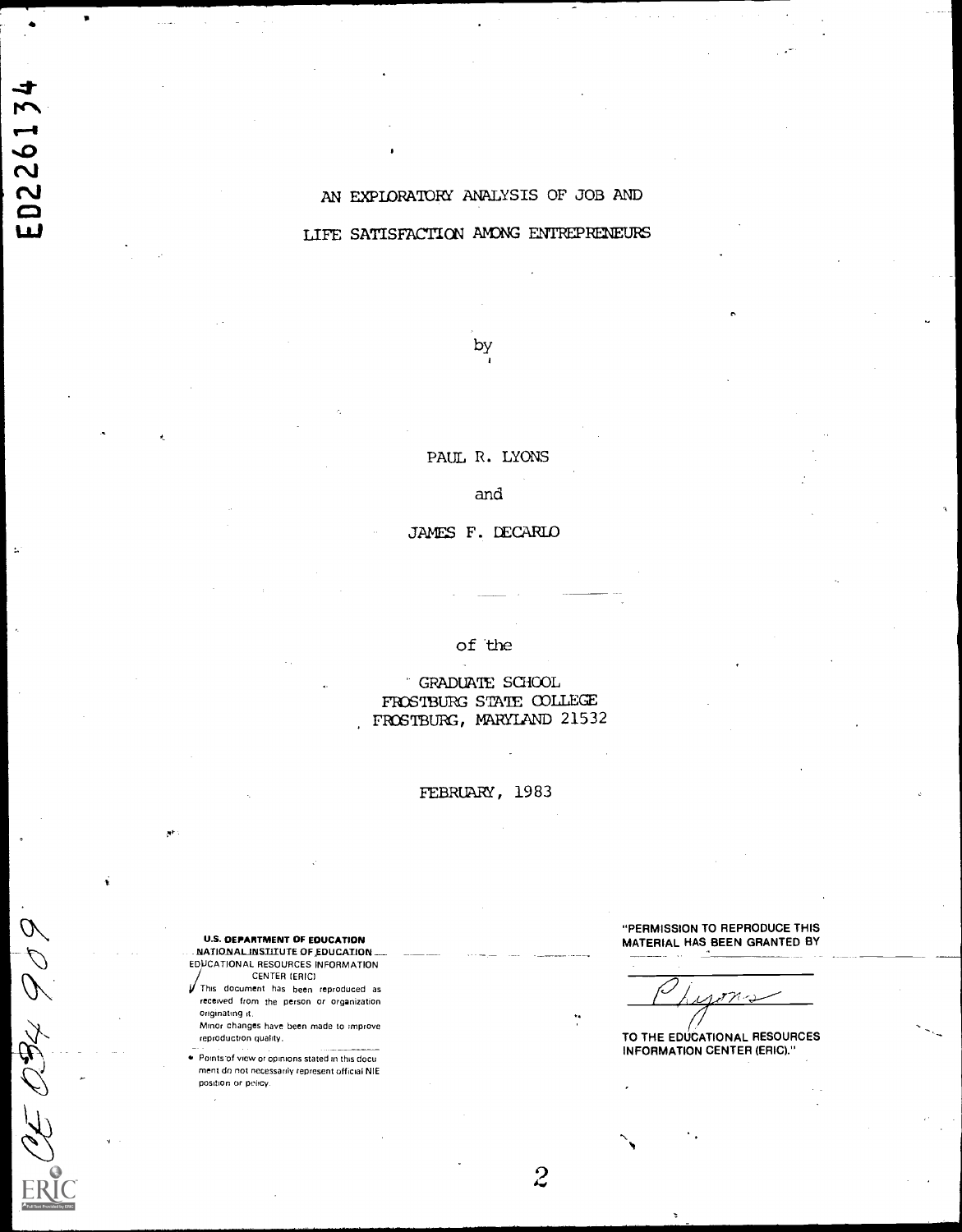## AN EXPLORATORY ANALYSIS OF JOB AND

## LIFE SATISFACTION AMONG ENTREPRENEURS

by

PAUL R. LYONS

and

JAMES F. DECARLO

of the

GRADUATE SCHOOL FROSTBURG STATE COLLEGE FROSTBURG, MARYLAND 21532

FEBRUARY, 1983

U.S. DEPARTMENT OF EDUCATION NATIONAL INSTITUTE OF EDUCATION. EDUCATIONAL RESOURCES INFORMATION

**CENTER (ERIC)** This document has been reproduced as received from the person or organization originating it.

Minor changes have been made to improve reproduction quality.

Pointsof view or opinions stated in this docu ment do not necessarily represent official NIE position or policy.

 $644403$ 

ED226134

"PERMISSION TO REPRODUCE THIS MATERIAL HAS BEEN GRANTED BY

TO THE EDUCATIONAL RESOURCES INFORMATION CENTER (ERIC)."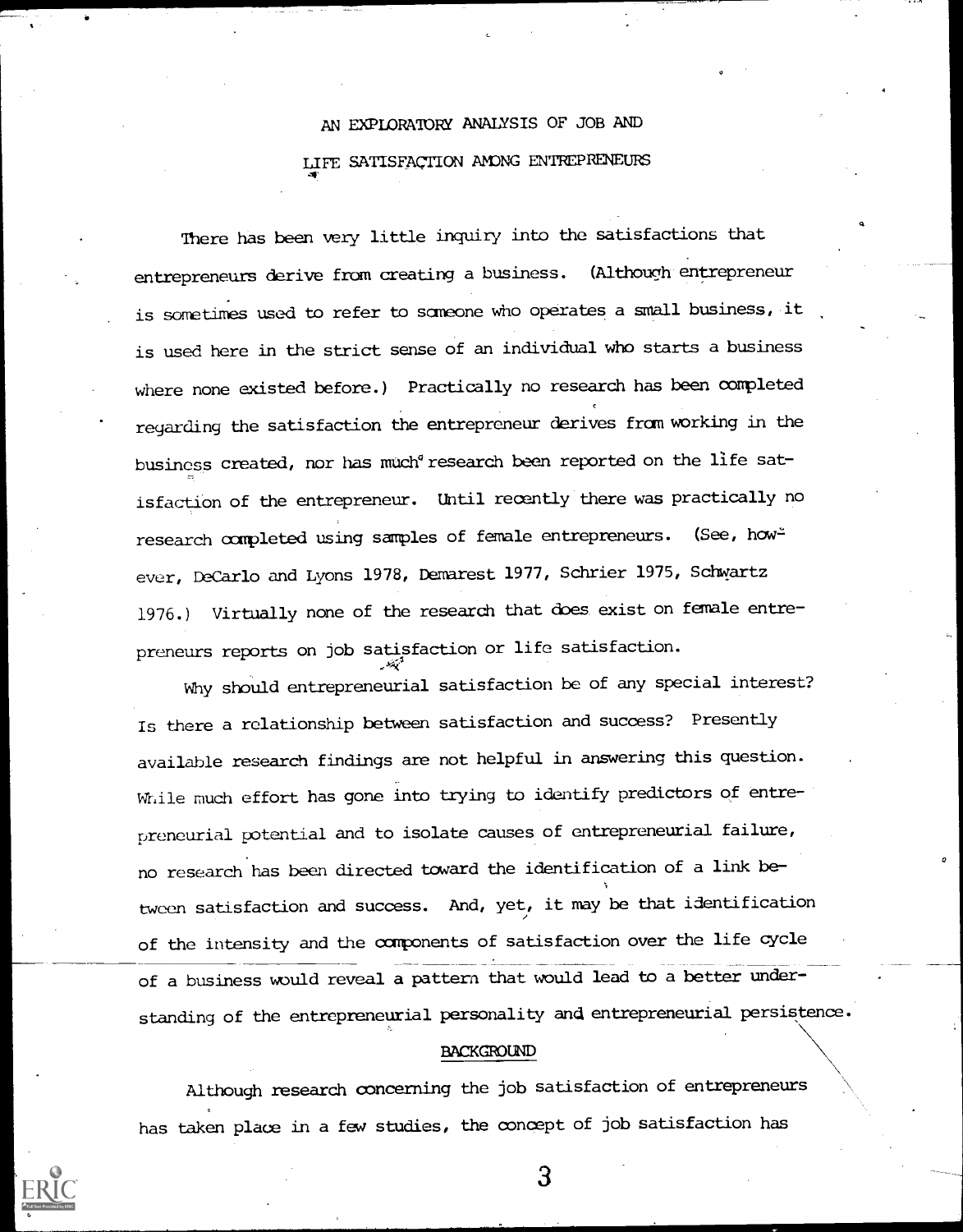# AN EXPLORATORY ANALYSIS OF JOB AND LIFE SATISFACTION AMONG ENTREPRENEURS

There has been very little inquiry into the satisfactions that entrepreneurs derive from creating a business. (Although entrepreneur is sometimes used to refer to sameone who operates a small business, it is used here in the strict sense of an individual who starts a business where none existed before.) Practically no research has been completed regarding the satisfaction the entrepreneur derives fram working in the business created, nor has much<sup>®</sup> research been reported on the life satisfaction of the entrepreneur. Until recently there was practically no research completed using samples of female entrepreneurs. (See, how= ever, DeCarlo and Lyons 1978, Demarest 1977, Schrier 1975, Schwartz 1976.) Virtually none of the research that does exist on female entrepreneurs reports on job satisfaction or life satisfaction.

Why should entrepreneurial satisfaction be of any special interest? Is there a relationship between satisfaction and success? Presently available research findings are not helpful in answering this question. While much effort has gone into trying to identify predictors of entrepreneurial potential and to isolate causes of entrepreneurial failure, no research has been directed toward the identification of a link between satisfaction and success. And, yet, it may be that identification of the intensity and the components of satisfaction over the life cycle of a business would reveal a pattern that would lead to a better understanding of the entrepreneurial personality and entrepreneurial persistence.

#### BACKGROUND

Although research concerning the job satisfaction of entrepreneurs has taken place in a few studies, the concept of job satisfaction has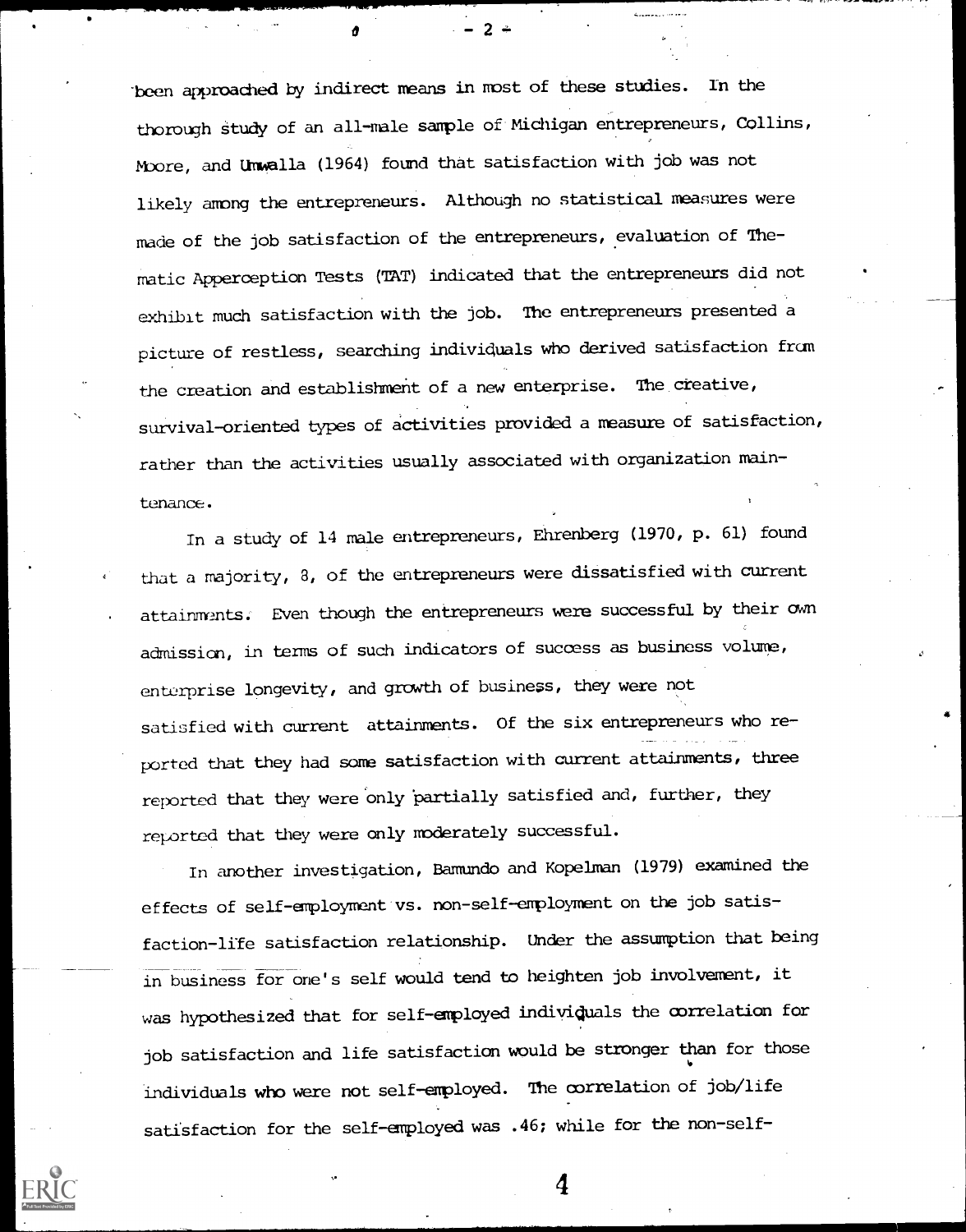'been approadhed by indirect means in most of these studies. In the thorough Study of an all-male sample of Michigan entrepreneurs, Collins, Moore, and Umwalla (1964) found that satisfaction with job was not likely among the entrepreneurs. Although no statistical measures were made of the job satisfaction of the entrepreneurs, evaluation of Thematic Apperception Tests (TAT) indicated that the entrepreneurs did not exhibit much satisfaction with the job. The entrepreneurs presented a picture of restless, seardhing individuals who derived satisfaction from the creation and establishment of a new enterprise. The creative, survival-oriented types of activities provided a measure of satisfaction, rather than the activities usually associated with organization maintenance.

In a study of 14 male entrepreneurs, Ehrenberg (1970, p. 61) found that a majority, 3, of the entrepreneurs were dissatisfied with current attainments. Even though the entrepreneurs were successful by their own admission, in terms of such indicators of success as business volume, enterprise longevity, and growth of business, they were not satisfied with current attainments. Of the six entrepreneurs who reported that they had sone satisfaction with current attainments, three reported that they were only partially satisfied and, further, they reported that they were only moderately successful.

In another investigation, Bamundo and Kopelman (1979) examined the effects of self-employment vs. non-self-employment on the job satisfaction-life satisfaction relationship. Under the assumption that being in business for one's self would tend to heighten job involvement, it was hypothesized that for self-employed individuals the correlation for job satisfaction and life satisfaction would be stronger than for those individuals who were not self-employed. The correlation of job/life satisfaction for the self-employed was .46; while for the non-self-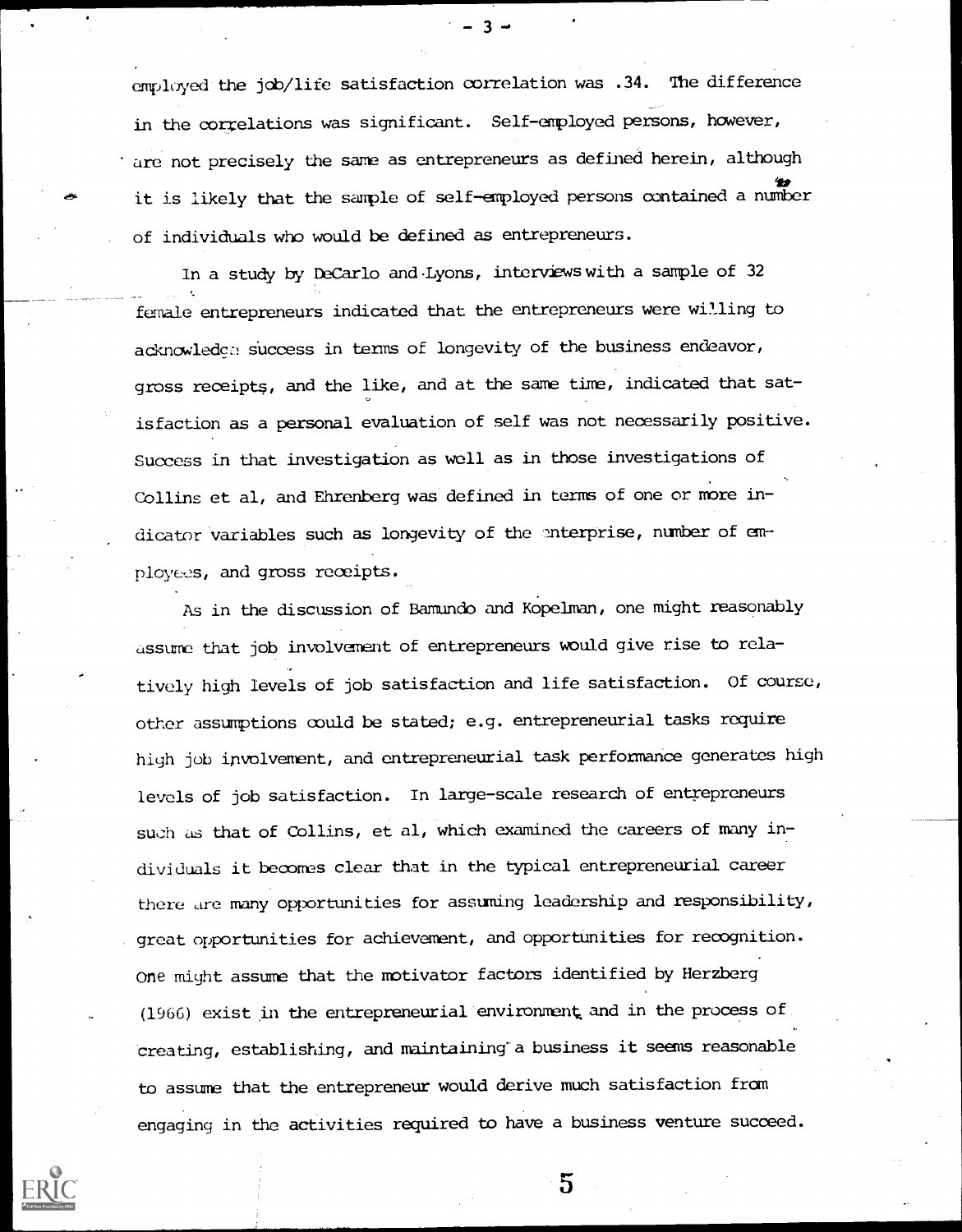employed the job/life satisfaction oorrelation was .34. The difference in the correlations was significant. Self-employed persons, however, are not precisely the same as entrepreneurs as defined herein, although  $\mathbf{r}$ it is likely that the sample of self-employed persons contained a number of individuals who would be defined as entrepreneurs.

In a study by DeCarlo and Lyons, interviews with a sample of 32 female entrepreneurs indicated that the entrepreneurs were willing to acknowledge success in terms of longevity of the business endeavor, gross receipts, and the like, and at the same time, indicated that satisfaction as a personal evaluation of self was not necessarily positive. Success in that investigation as well as in those investigations of Collins et al, and Ehrenberg was defined in terms of one or more indicator variables such as longevity of the anterprise, number of employees, and gross receipts.

As in the discussion of Bamundo and Kopelman, one might reasonably assume that job involvement of entrepreneurs would give rise to rela tively high levels of job satisfaction and life satisfaction. Of course, other assumptions could be stated; e.g. entrepreneurial tasks require high job involvement, and entrepreneurial task performance generates high levels of job satisfaction. In large-scale research of entrepreneurs such as that of Collins, et al, which examined the careers of many individuals it becomes clear that in the typical entrepreneurial career there are many opportunities for assuming leadership and responsibility, great opportunities for achievement, and opportunities for recognition. one might assume that the motivator factors identified by Herzberg (1966) exist in the entrepreneurial'environment, and in the process of creating, establishing, and maintaining a business it seems reasonable to assume that the entrepreneur would derive much satisfaction from engaging in the activities required to have a business venture succeed.

 $\overline{5}$ 

 $-3 -$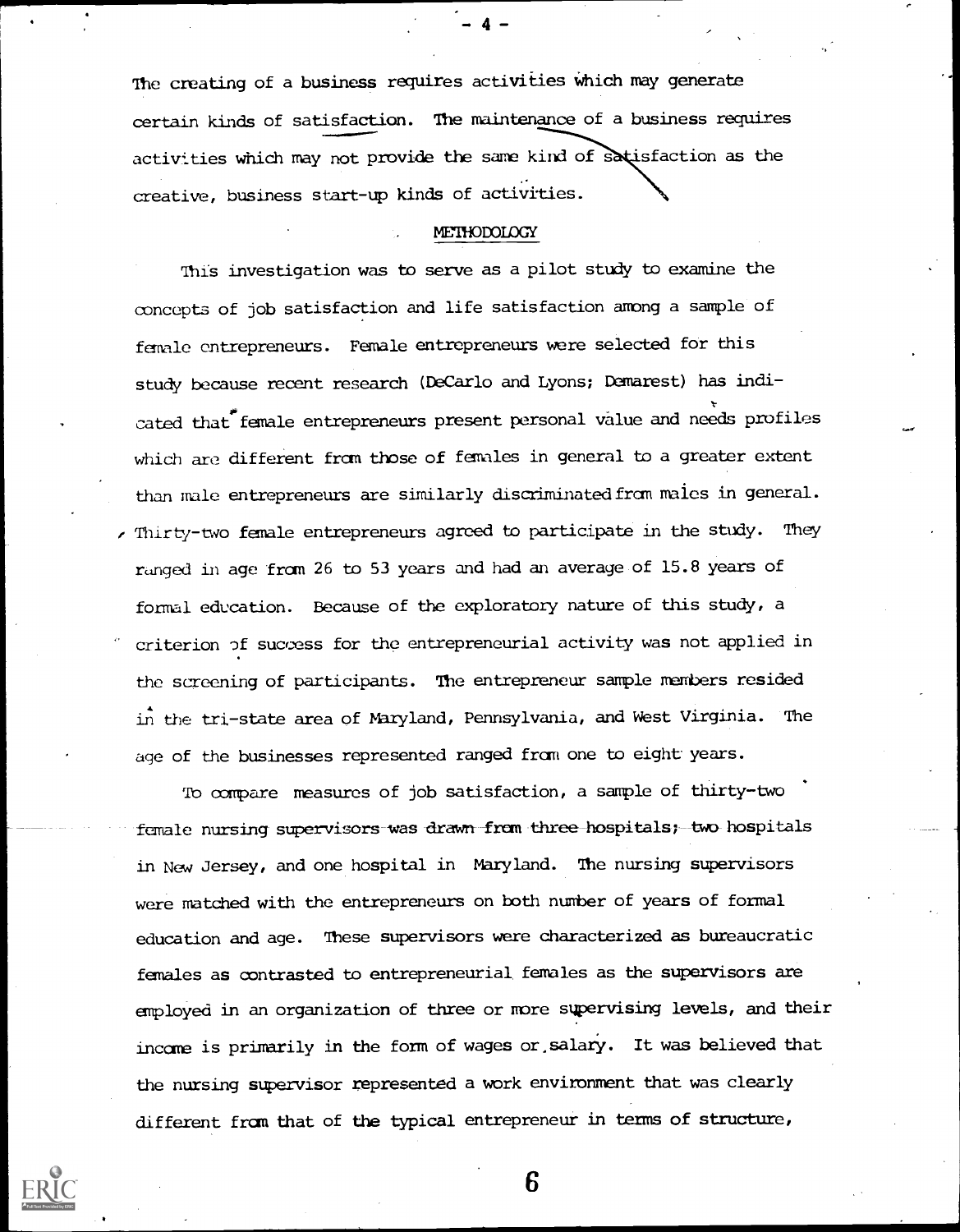The creating of a business requires activities which may generate certain kinds of satisfaction. The maintenance of a business requires activities which may not provide the same kind of satisfaction as the creative, business start-up kinds of activities.

#### **METHODOLOGY**

This investigation was to serve as a pilot study to examine the concepts of job satisfaction and life satisfaction among a sample of female entrepreneurs. Female entrepreneurs were selected for this study because recent research (DeCarlo and Lyons; Demarest) has indicated that female entrepreneurs present personal value and needs profiles which are different from those of females in general to a greater extent than male entrepreneurs are similarly discriminated from males in general. e Thirty-two female entrepreneurs agreed to participate in the study. They ranged in age from 26 to 53 years and had an average of 15.8 years of formal education. Because of the exploratory nature of this study, a criterion of success for the entrepreneurial activity was not applied in the screening of participants. The entrepreneur sample meabers resided in the tri-state area of Naryland, Pennsylvania, and West Virginia. The age of the businesses represented ranged fram one to eight years.

To compare measures of job satisfaction, a sample of thirty-two female nursing supervisors was drawn from three hospitals; two hospitals in New Jersey, and one hospital in Maryland. The nursing supervisors were matched with the entrepreneurs on both number of years of formal education and age. These supervisors were characterized as bureaucratic females as contrasted to entrepreneurial females as the supervisors are employed in an organization of three or more supervising levels, and their income is primarily in the form of wages or,salary. It was believed that the nursing supervisor represented a work environment that was clearly different fram that of the typical entrepreneur in terms of structure,

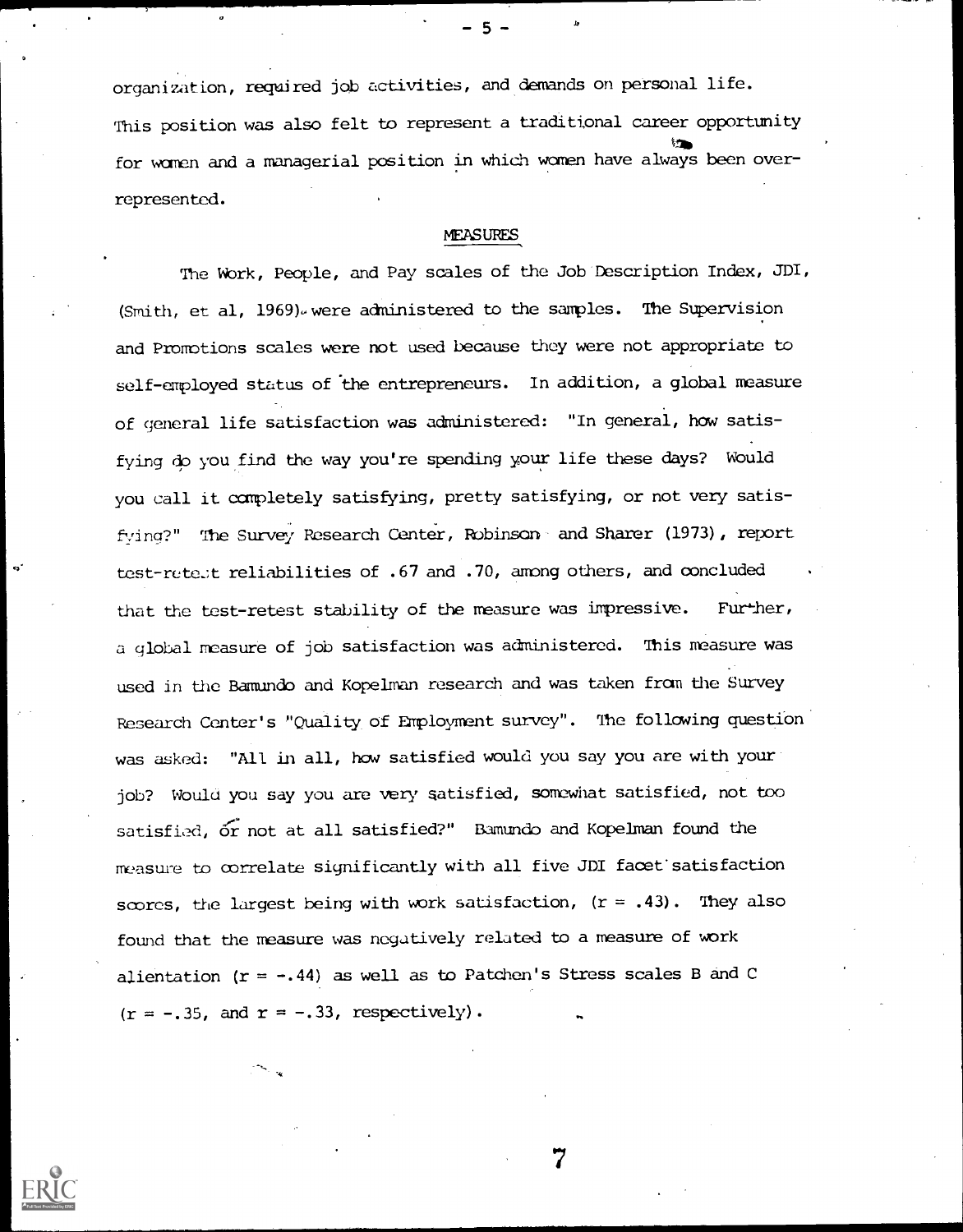organization, required job activities, and demands on personal life. This position was also felt to represent a traditional career opportunity the contract of the contract of the contract of the contract of the contract of the contract of the contract of the contract of the contract of the contract of the contract of the contract of the contract of the contract o for women and a managerial position in which women have always been overrepresented.

### **MEASURES**

The Wbrk, People, and Pay scales of the Job Description Index, JDI, (Smith, et al, 1969). were administered to the samples. The Supervision and Promotions scales were not used because they were not appropriate to self-employed status of the entrepreneurs. In addition, a global measure of general life satisfaction was administered: "In general, how satisfying do you find the way you're spending your life these days? Would you call it completely satisfying, pretty satisfying, or not very satisfying?" The Survey Research Center, Robinson and Sharer (1973), report test-rete.it reliabilities of .67 and .70, among others, and concluded that the test-retest stability of the measure was impressive. Further, a global measure of job satisfaction was administered. This measure was used in the Bamundo and Kopelman research and was taken from the Survey Research Center's "Quality of Employment survey". The following question was asked: "All in all, how satisfied would you say you are with your job? Would you say you are very satisfied, somewhat satisfied, not too satisfied, or not at all satisfied?" Bamundo and Kopelman found the measure to correlate significantly with all five JDI facet:satisfaction scores, the largest being with work satisfaction,  $(r = .43)$ . They also found that the measure was negatively related to a measure of work alientation  $(r = -.44)$  as well as to Patchen's Stress scales B and C  $(r = -.35, and r = -.33, respectively).$ 

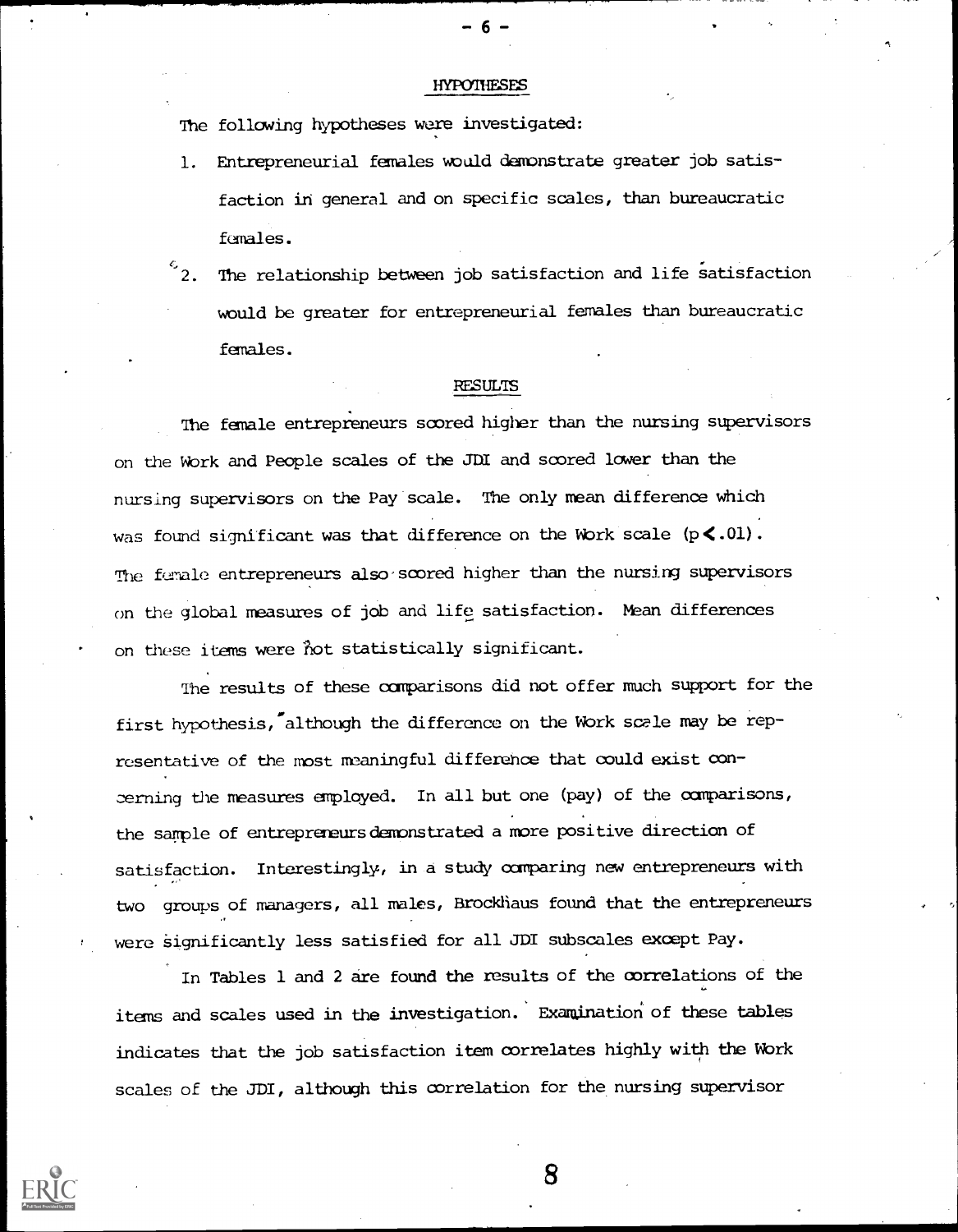#### **HYPOTHESES**

The following hypotheses were investigated:

- 1. Entrepreneurial females would demonstrate greater job satisfaction in general and on specific scales, than bureaucratic females.
- $\frac{c}{2}$ . The relationship between job satisfaction and life satisfaction would be greater for entrepreneurial females than bureaucratic females.

#### RESULTS

The female entrepreneurs scored higher than the nursing supervisors on the Work and People scales of the JDI and scored lower than the nursing supervisors on the Pay scale. The only mean difference which was found significant was that difference on the Work scale  $(p \le .01)$ . The female entrepreneurs also scored higher than the nursing supervisors on the global measures of job and life satisfaction. Mean differences on these items were ?lot statistically significant.

The results of these comparisons did not offer much support for the first hypothesis, although the difference on the Work scele may be representative of the most meaningful difference that could exist conoerning the measures employed. In all but one (pay) of the comparisons, the sample of entreprereursdemonstrated a more positive direction of satisfaction. Interestingly, in a study comparing new entrepreneurs with two groups of managers, all males, Brockhaus found that the entrepreneurs were significantly less satisfied for all JDI subscales except Pay.

In Tables 1 and 2 are found the results of the correlations of the items and scales used in the investigation. Examination' of these tables indicates that the job satisfaction item correlates highly with the Work scales of the JDI, although this correlation for the, nursing supervisor

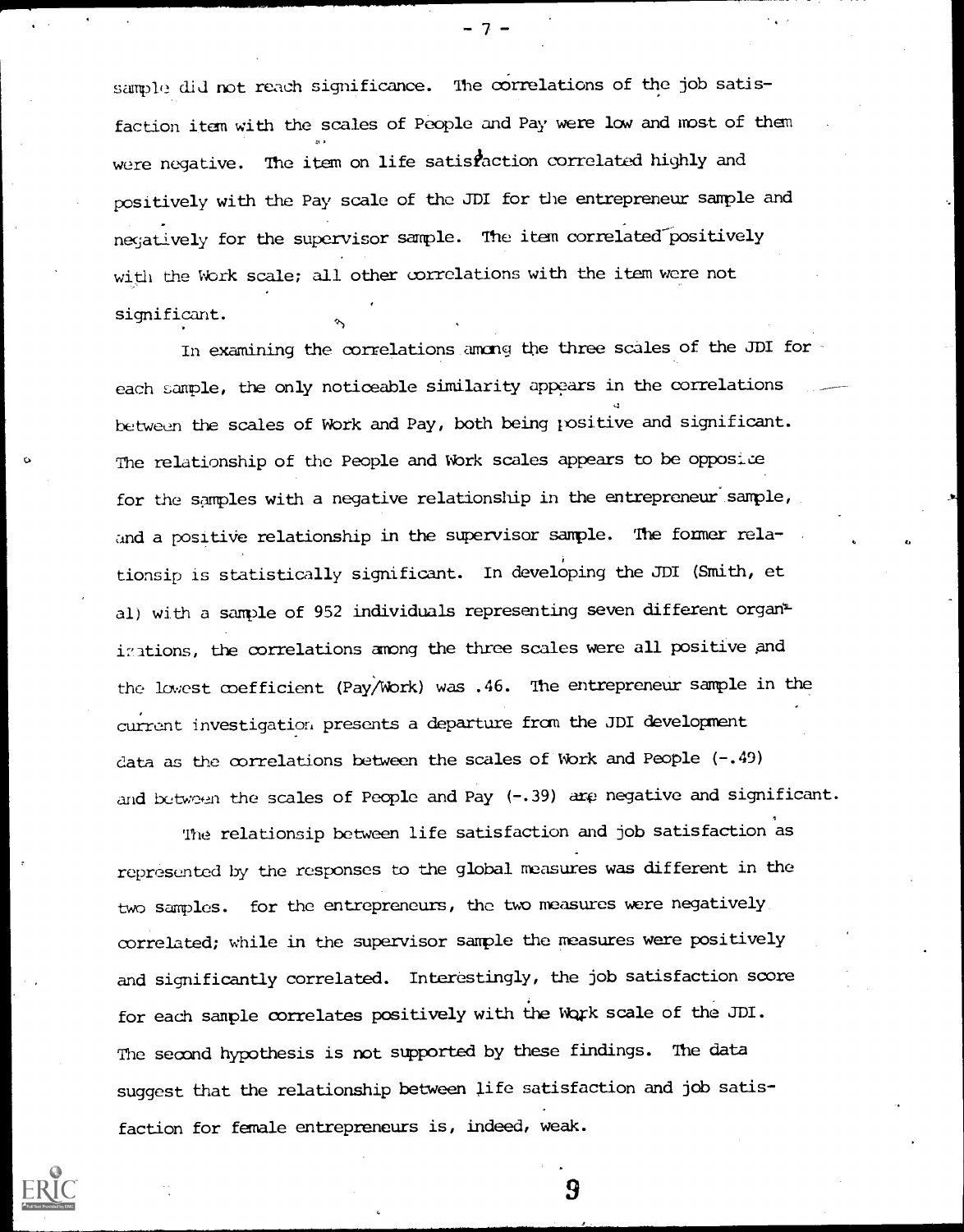sample did not reach significance. The correlations of the job satisfaction item with the scales of People and Pay were low and most of them were negative. The item on life satisfaction correlated highly and positively with the Pay scale of the JDI for the entrepreneur sample and negatively for the supervisor sample. The item correlated positively with the Work scale; all other correlations with the item were not significant.

In examining the correlations among the three scales of the JDI for each sample, the only noticeable similarity appears in the correlations between the scales of work and Pay, both being positive and significant. The relationship of the People and Work scales appears to be opposice for the samples with a negative relationship in the entrepreneur sample, and a positive relationship in the supervisor sample. The former relationsip is statistically significant. In developing the JDI (Smith, et al) with a sample of 952 individuals representing seven different organ<sup>\*</sup> i7ations, the correlations among the three scales were all positive and the lowest coefficient (Pay/Work) was .46. 1he entrepreneur sample in the current investigation presents a departure from the JDI development data as the correlations between the scales of Work and People (-. 49) and between the scales of People and Pay (-.39) are negative and significant.

The relationsip between life satisfaction and job satisfaction as represented by the responses bo the global measures was different in the two samples. for the entrepreneurs, the two measures were negatively correlated; while in the supervisor sample the measures were positively and significantly correlated. Interestingly, the job satisfaction score for each sample correlates positively with the Work scale of the JDI. The second hypothesis is not supported by these findings. The data suggest that the relationship between life satisfaction and job satisfaction for female entrepreneurs is, indeed, weak.

9



 $T =$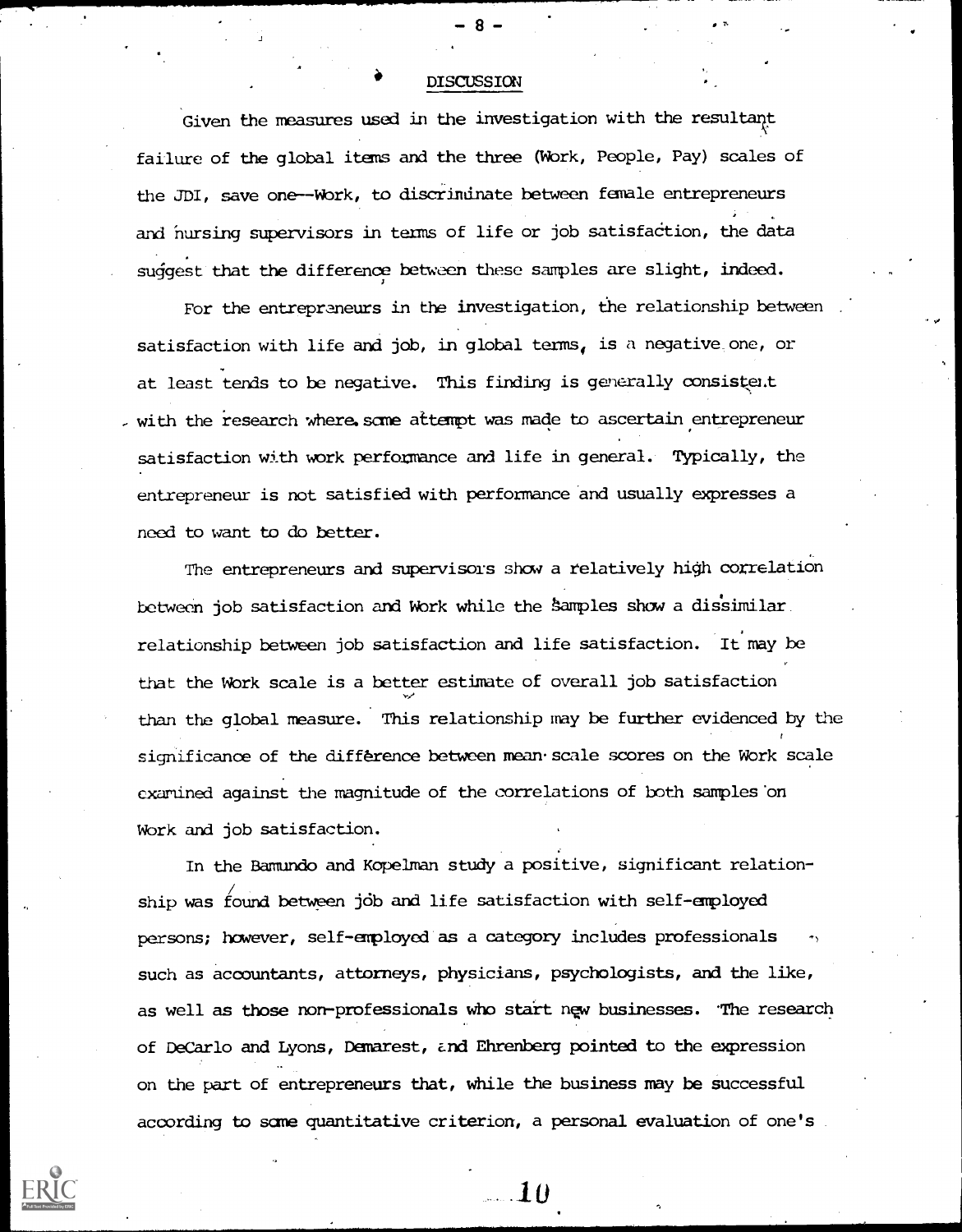### **DISCUSSION**

z.

Given the measures used in the investigation with the resultant failure of the global items and the three (Work, People, Pay) scales of the JDI, save one--Wbrk, to discrindnate between female entrepreneurs s. and nursing supervisors in terms of life or job satisfaction, the data suggest that the difference between these samples are slight, indeed.

For the entrepraneurs in the investigation, the relationship between satisfaction with life and job, in global terms, is a negative one, or at least tends to be negative. This finding is generally consisteit , with the research where some attempt was made to ascertain entrepreneur satisfaction with work performance and life in general. Typically, the entrepreneur is not satisfied with performance and usually expresses a need to want to do better.

The entrepreneurs and supervisors show a relatively high correlation between job satisfaction and Work while the Samples show a dissimilar. relationship between job satisfaction and life satisfaction. It may be that the Wbrk scale is a better estimate of overall job satisfaction than the global measure. This relationship may be further evidenced by the significance of the difference between mean. scale scores on the Work scale examined against the magnitude of the correlations of both samples'on Wbrk and job satisfaction.

In the Bamundo and Kopelman study a positive, significant relation- / ship was found between jdb and life satisfaction with self-employed persons; however, self-employed as a category includes professionals such as accountants, attorneys, physicians, psychologists, and the like, as well as those non-professionals who start new businesses. The research of DeCarlo and Lyons, Demarest, z.nd Ehrenberg pointed to the expression on the part of entrepreneurs that, while the business may be Successful according to same quantitative criterion, a personal evaluation of one's

 $-10$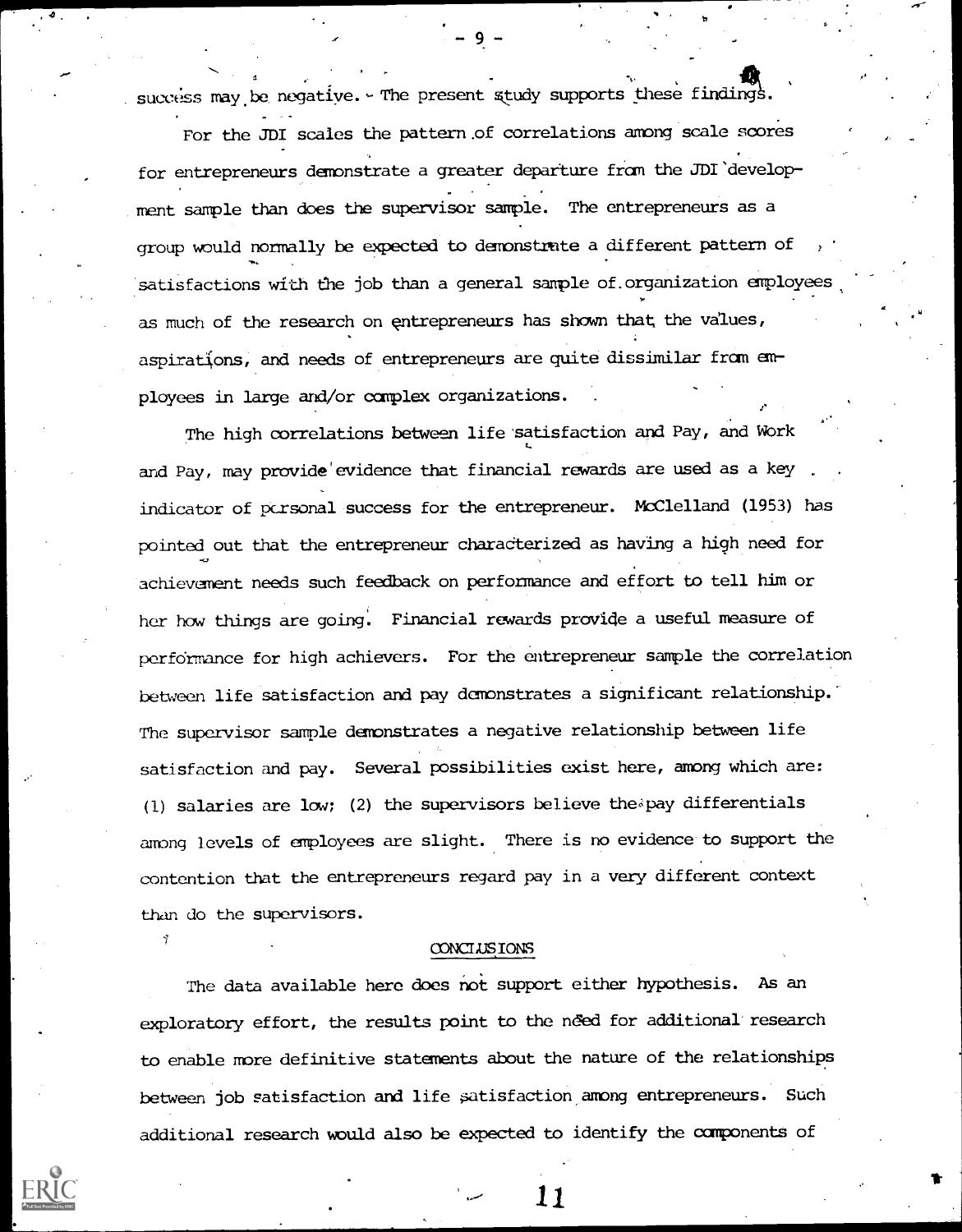success may be negative. - The present study supports these findings.

For the JDI scales the pattern.of correlations among scale scores for entrepreneurs demonstrate a greater departure fram the JDI'development sample than does the supervisor sample. The entrepreneurs as a group would normally be expected to demonstrate a different pattern of satisfactions with the job than a general sample of organization employees as much of the research on entrepreneurs has shown that the values, aspirations, and needs of entrepreneurs are quite dissimilar from employees in large and/or complex organizations.

The high correlations between life satisfaction and Pay, and Work and Pay, may provide'evidence that financial rewards are used as a key indicator of personal success for the entrepreneur. McClelland (1953) has pointed out that the entrepreneur charadterized as having a high need for achievement needs such feedback on performance and effort to tell him or her how things are going. Financial rewards provide a useful measure of performance for high achievers. For the entrepreneur sample the correlation between life satisfaction and pay demonstrates a significant relationship. The supervisor sample demonstrates a negative relationship between life satisfaction and pay. Several possibilities exist here, among which are: (1) salaries are low; (2) the supervisors believe the  $i$  pay differentials among levels of employees are slight. There is no evidence to support the contention that the entrepreneurs regard pay in a very different context than do the supervisors.

#### **CONCLUSIONS**

The data available here does not support either hypothesis. As an exploratory effort, the results point to the need for additional research to enable more definitive statements about the nature of the relationships between job satisfaction and life satisfaction among entrepreneurs. Such additional research would also be expected to identify the components of

<u>11</u>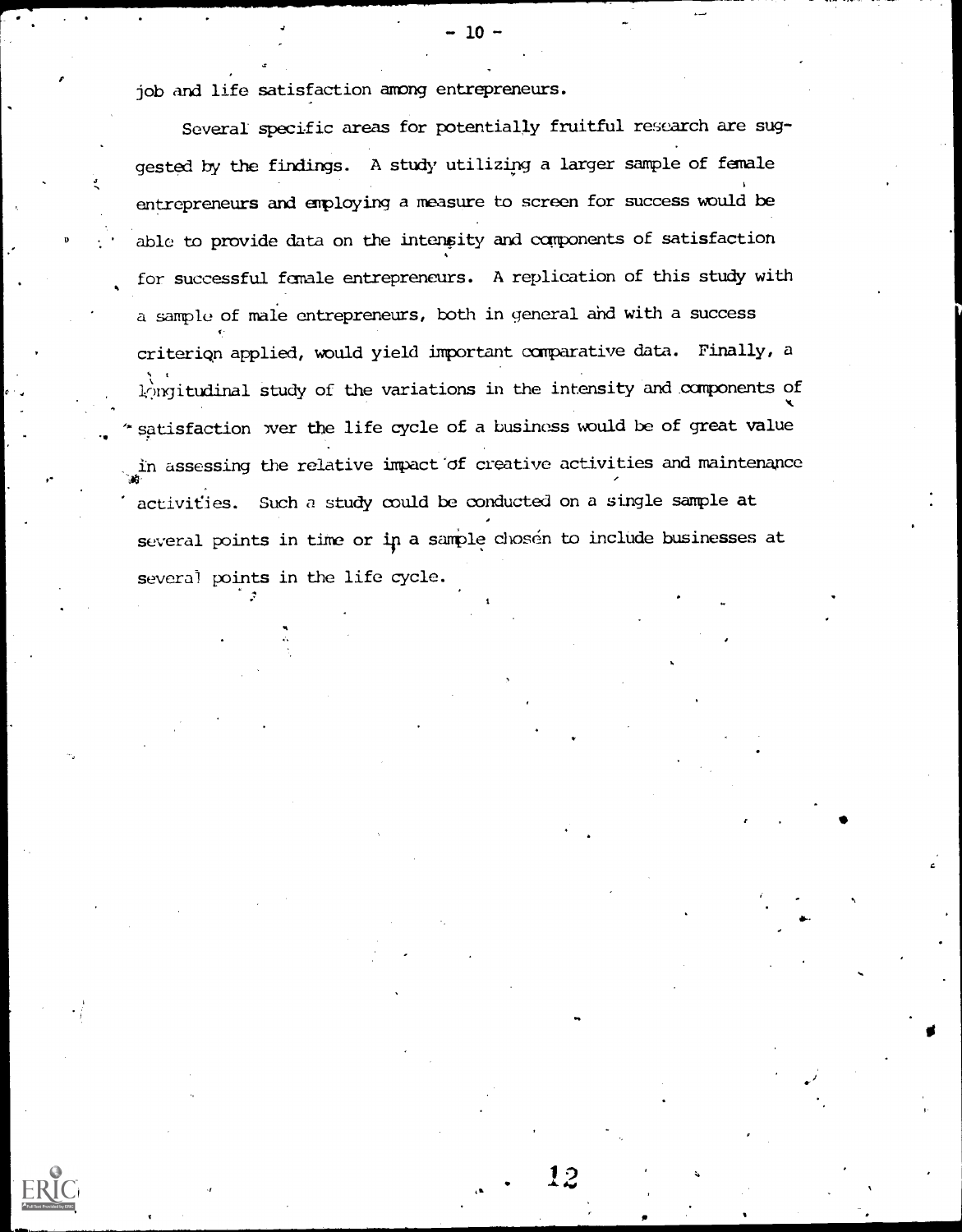job and life satisfaction among entrepreneurs.

- 200

Several specific areas for potentially fruitful research are suggested by the findings. A study utilizing a larger sample of female entrepreneurs and employing a measure to screen for success would be able to provide data on the intenpity and components of satisfaction for successful female entrepreneurs. A replication of this study with a sample of male entrepreneurs, both in general ahd with a success criteriqn applied, would yield important comparative data. Finally, a t 1,2ngitudinal study of the variations in the intensity and.components of 'satisfaction wer the life cycle of a business would be of great value in assessing the relative impact of creative activities and maintenance activities. Such a study could be conducted on a single sample at several points in time or in a sample chosen to include businesses at several points in the life cycle.

Ofb

12

- 10 -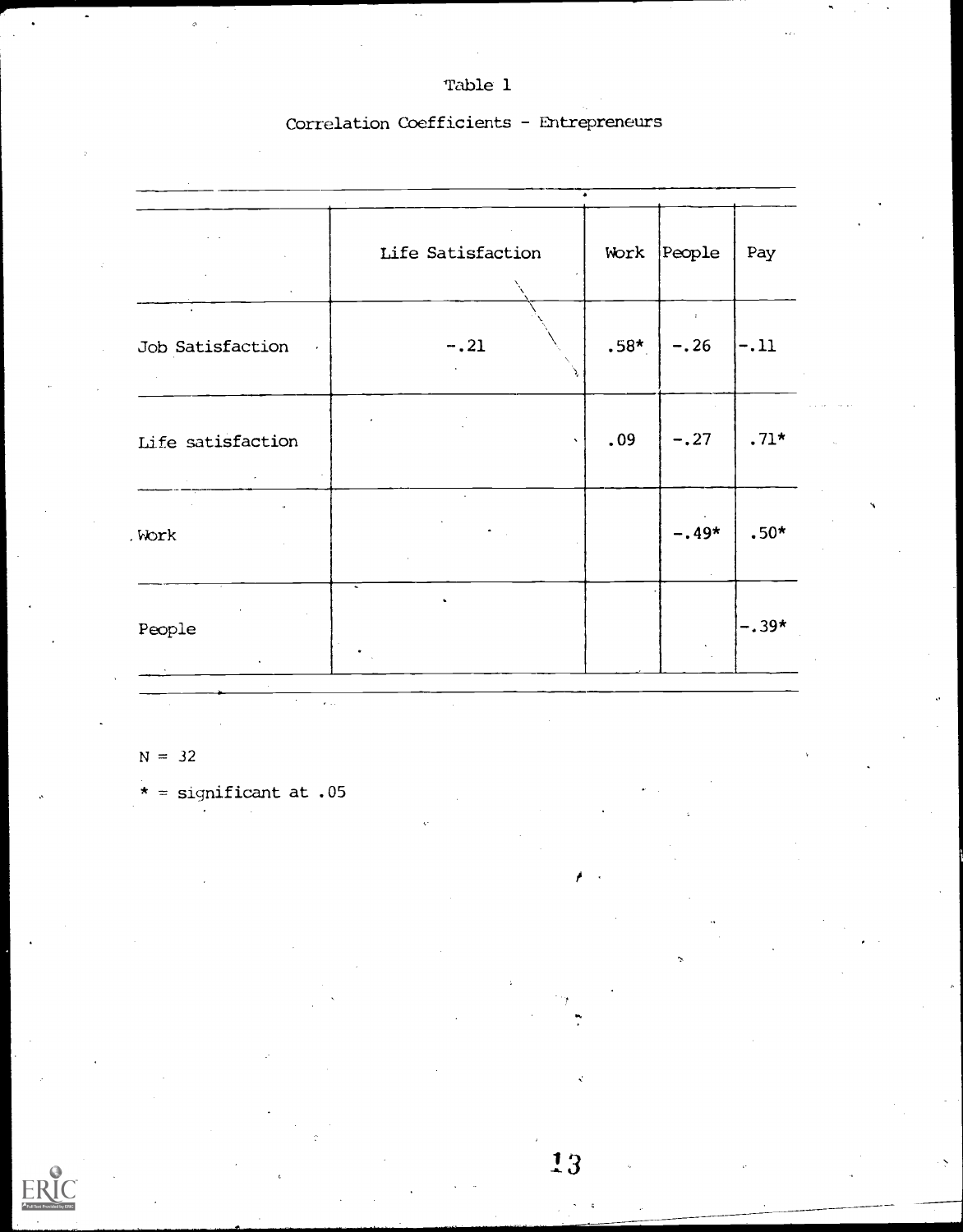Table 1

## Correlation Coefficients - Entrepreneurs

|                                             | Life Satisfaction | Work   | People  | Pay     |
|---------------------------------------------|-------------------|--------|---------|---------|
|                                             |                   |        |         |         |
| $\bullet$<br>Job Satisfaction<br>$\epsilon$ | $-.21$            | $.58*$ | $-.26$  | $-.11$  |
| Life satisfaction                           |                   | .09    | $-.27$  | $.71*$  |
| Work                                        |                   |        | $-.49*$ | $.50*$  |
| People                                      |                   |        |         | $-.39*$ |

 $N = 32$ 

\* = significant at .05

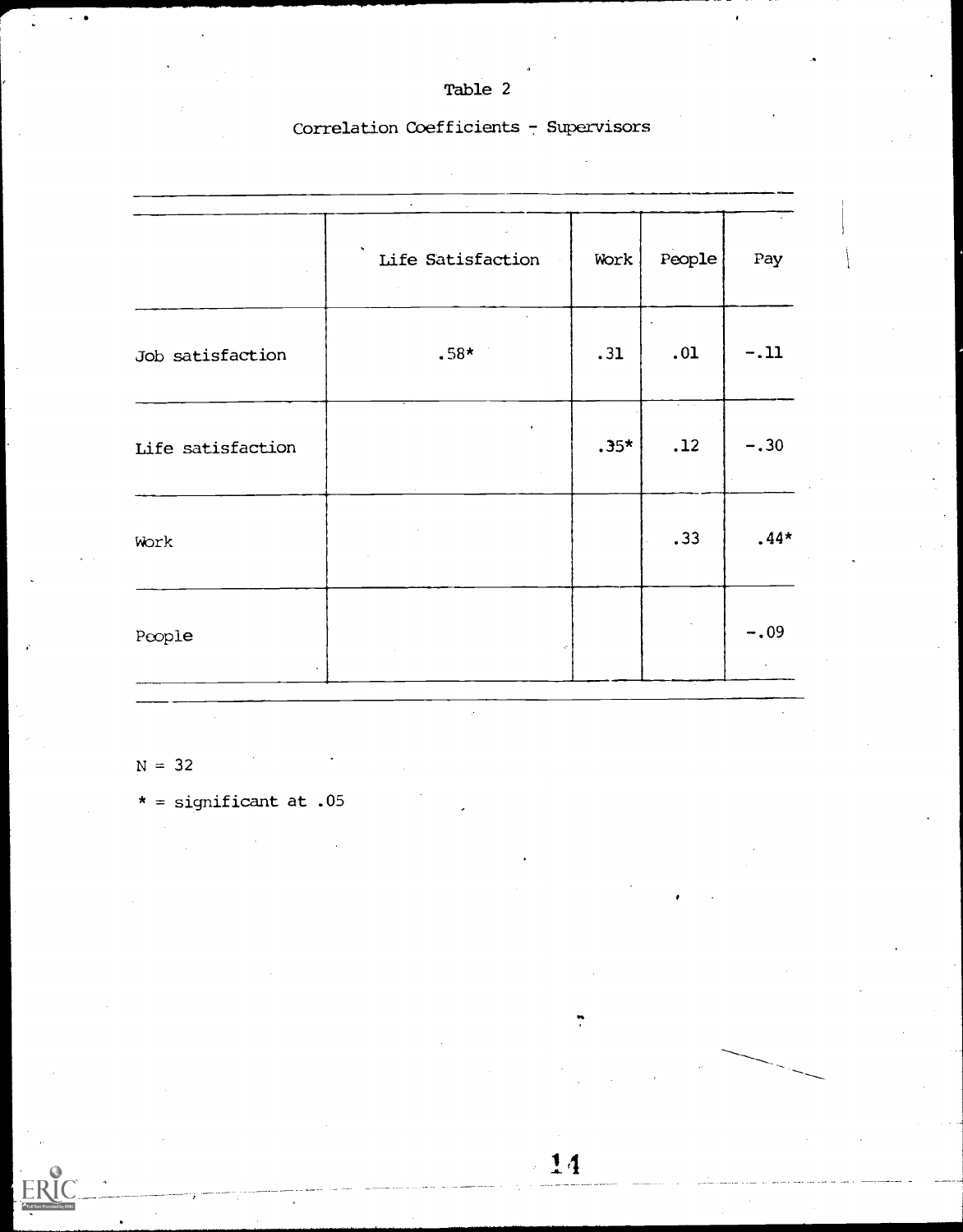## Table 2

## Correlation Coefficients - Supervisors

|                   | Life Satisfaction | Work   | People                                             | Pay    |  |
|-------------------|-------------------|--------|----------------------------------------------------|--------|--|
| Job satisfaction  | $.58*$            | .31    | .01                                                | $-.11$ |  |
| Life satisfaction |                   | $.35*$ | $\mathbf{r} = \mathbf{r} \times \mathbf{r}$<br>.12 | $-.30$ |  |
| Work              |                   |        | .33                                                | $.44*$ |  |
| People            |                   |        |                                                    | $-.09$ |  |

 $\overline{14}$ 

 $N = 32$ 

\* = significant at .05